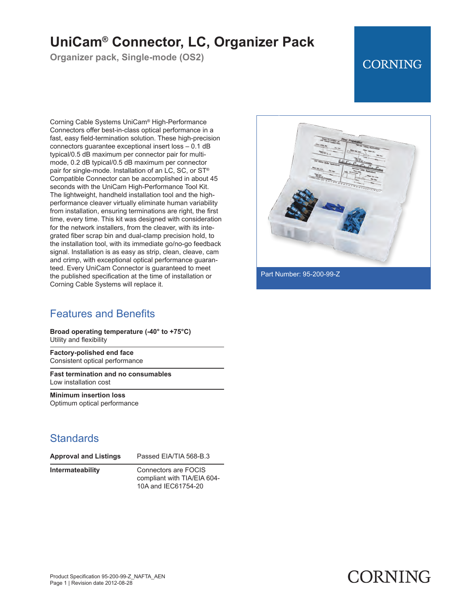# **UniCam® Connector, LC, Organizer Pack**

**Organizer pack, Single-mode (OS2)**

## **CORNING**

Corning Cable Systems UniCam® High-Performance Connectors offer best-in-class optical performance in a fast, easy field-termination solution. These high-precision connectors guarantee exceptional insert loss – 0.1 dB typical/0.5 dB maximum per connector pair for multimode, 0.2 dB typical/0.5 dB maximum per connector pair for single-mode. Installation of an LC, SC, or ST® Compatible Connector can be accomplished in about 45 seconds with the UniCam High-Performance Tool Kit. The lightweight, handheld installation tool and the highperformance cleaver virtually eliminate human variability from installation, ensuring terminations are right, the first time, every time. This kit was designed with consideration for the network installers, from the cleaver, with its integrated fiber scrap bin and dual-clamp precision hold, to the installation tool, with its immediate go/no-go feedback signal. Installation is as easy as strip, clean, cleave, cam and crimp, with exceptional optical performance guaranteed. Every UniCam Connector is guaranteed to meet the published specification at the time of installation or Corning Cable Systems will replace it.

### Features and Benefits

**Broad operating temperature (-40° to +75°C)** Utility and flexibility

**Factory-polished end face** Consistent optical performance

**Fast termination and no consumables** Low installation cost

**Minimum insertion loss** Optimum optical performance

#### **Standards**

| <b>Approval and Listing</b> |  |  |
|-----------------------------|--|--|
|-----------------------------|--|--|

**Approval and Listings** Passed EIA/TIA 568-B.3

**Intermateability** Connectors are FOCIS compliant with TIA/EIA 604- 10A and IEC61754-20



Part Number: 95-200-99-Z